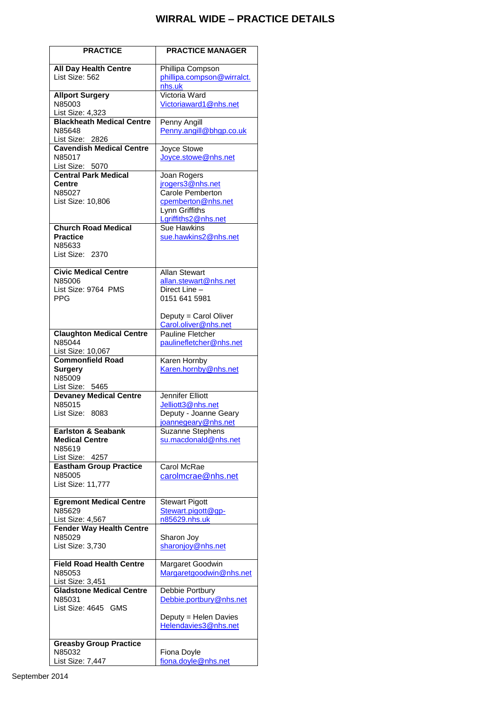## **WIRRAL WIDE – PRACTICE DETAILS**

| <b>PRACTICE</b>                           | <b>PRACTICE MANAGER</b>                       |
|-------------------------------------------|-----------------------------------------------|
| <b>All Day Health Centre</b>              | Phillipa Compson                              |
| List Size: 562                            | phillipa.compson@wirralct.                    |
|                                           | nhs.uk                                        |
| <b>Allport Surgery</b>                    | Victoria Ward                                 |
| N85003                                    | Victoriaward1@nhs.net                         |
| List Size: 4,323                          |                                               |
| <b>Blackheath Medical Centre</b>          | Penny Angill                                  |
| N85648                                    | Penny.angill@bhgp.co.uk                       |
| List Size: 2826                           |                                               |
| <b>Cavendish Medical Centre</b><br>N85017 | Joyce Stowe                                   |
| List Size: 5070                           | Joyce.stowe@nhs.net                           |
| <b>Central Park Medical</b>               | Joan Rogers                                   |
| Centre                                    | jrogers3@nhs.net                              |
| N85027                                    | Carole Pemberton                              |
| List Size: 10,806                         | cpemberton@nhs.net                            |
|                                           | Lynn Griffiths                                |
|                                           | Lgriffiths2@nhs.net                           |
| <b>Church Road Medical</b>                | Sue Hawkins                                   |
| <b>Practice</b><br>N85633                 | sue.hawkins2@nhs.net                          |
| List Size: 2370                           |                                               |
|                                           |                                               |
| <b>Civic Medical Centre</b>               | <b>Allan Stewart</b>                          |
| N85006                                    | allan.stewart@nhs.net                         |
| List Size: 9764 PMS                       | Direct Line -                                 |
| <b>PPG</b>                                | 0151 641 5981                                 |
|                                           |                                               |
|                                           | Deputy = Carol Oliver<br>Carol.oliver@nhs.net |
| <b>Claughton Medical Centre</b>           | <b>Pauline Fletcher</b>                       |
| N85044                                    | paulinefletcher@nhs.net                       |
| List Size: 10,067                         |                                               |
| <b>Commonfield Road</b>                   | Karen Hornby                                  |
| <b>Surgery</b>                            | Karen.hornby@nhs.net                          |
| N85009                                    |                                               |
| List Size: 5465                           |                                               |
| <b>Devaney Medical Centre</b><br>N85015   | <b>Jennifer Elliott</b><br>Jelliott3@nhs.net  |
| List Size: 8083                           | Deputy - Joanne Geary                         |
|                                           | joannegeary@nhs.net                           |
| Earlston & Seabank                        | Suzanne Stephens                              |
| <b>Medical Centre</b>                     | su.macdonald@nhs.net                          |
| N85619                                    |                                               |
| List Size: 4257                           |                                               |
| <b>Eastham Group Practice</b>             | Carol McRae                                   |
| N85005<br>List Size: 11,777               | carolmcrae@nhs.net                            |
|                                           |                                               |
| <b>Egremont Medical Centre</b>            | <b>Stewart Pigott</b>                         |
| N85629                                    | Stewart.pigott@gp-                            |
| List Size: 4,567                          | n85629.nhs.uk                                 |
| <b>Fender Way Health Centre</b>           |                                               |
| N85029                                    | Sharon Joy                                    |
| List Size: 3,730                          | sharonjoy@nhs.net                             |
| <b>Field Road Health Centre</b>           | Margaret Goodwin                              |
| N85053                                    | Margaretgoodwin@nhs.net                       |
| List Size: 3,451                          |                                               |
| <b>Gladstone Medical Centre</b>           | Debbie Portbury                               |
| N85031                                    | Debbie.portbury@nhs.net                       |
| List Size: 4645 GMS                       |                                               |
|                                           | Deputy = Helen Davies                         |
|                                           | Helendavies3@nhs.net                          |
| <b>Greasby Group Practice</b>             |                                               |
| N85032                                    | Fiona Doyle                                   |
| List Size: 7,447                          | fiona.doyle@nhs.net                           |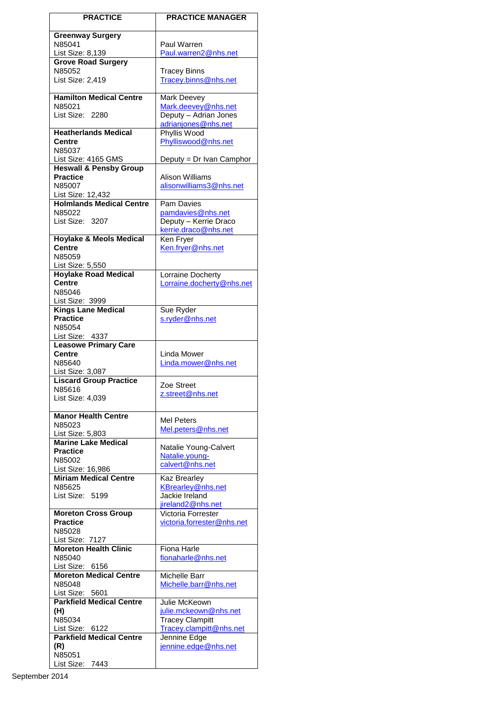| <b>PRACTICE</b>                                          | <b>PRACTICE MANAGER</b>                      |
|----------------------------------------------------------|----------------------------------------------|
| <b>Greenway Surgery</b>                                  |                                              |
| N85041                                                   | Paul Warren                                  |
| List Size: 8,139                                         | Paul.warren2@nhs.net                         |
| <b>Grove Road Surgery</b>                                |                                              |
| N85052<br>List Size: 2,419                               | <b>Tracey Binns</b><br>Tracey.binns@nhs.net  |
|                                                          |                                              |
| <b>Hamilton Medical Centre</b>                           | Mark Deevey                                  |
| N85021                                                   | Mark.deevey@nhs.net                          |
| List Size: 2280                                          | Deputy - Adrian Jones<br>adrianjones@nhs.net |
| <b>Heatherlands Medical</b>                              | Phyllis Wood                                 |
| Centre                                                   | Phylliswood@nhs.net                          |
| N85037                                                   |                                              |
| List Size: 4165 GMS<br><b>Heswall &amp; Pensby Group</b> | Deputy = Dr Ivan Camphor                     |
| <b>Practice</b>                                          | <b>Alison Williams</b>                       |
| N85007                                                   | alisonwilliams3@nhs.net                      |
| List Size: 12,432                                        |                                              |
| <b>Holmlands Medical Centre</b><br>N85022                | Pam Davies<br>pamdavies@nhs.net              |
| List Size: 3207                                          | Deputy - Kerrie Draco                        |
|                                                          | kerrie.draco@nhs.net                         |
| <b>Hoylake &amp; Meols Medical</b>                       | Ken Fryer                                    |
| <b>Centre</b><br>N85059                                  | Ken.fryer@nhs.net                            |
| List Size: 5,550                                         |                                              |
| <b>Hoylake Road Medical</b>                              | Lorraine Docherty                            |
| <b>Centre</b>                                            | Lorraine.docherty@nhs.net                    |
| N85046<br>List Size: 3999                                |                                              |
| <b>Kings Lane Medical</b>                                | Sue Ryder                                    |
| <b>Practice</b>                                          | s.ryder@nhs.net                              |
| N85054                                                   |                                              |
| List Size: 4337<br><b>Leasowe Primary Care</b>           |                                              |
| <b>Centre</b>                                            | Linda Mower                                  |
| N85640                                                   | Linda.mower@nhs.net                          |
| List Size: 3,087<br><b>Liscard Group Practice</b>        |                                              |
| N85616                                                   | Zoe Street                                   |
| List Size: 4,039                                         | z.street@nhs.net                             |
| <b>Manor Health Centre</b>                               |                                              |
| N85023                                                   | Mel Peters                                   |
| List Size: 5,803                                         | Mel.peters@nhs.net                           |
| <b>Marine Lake Medical</b>                               | Natalie Young-Calvert                        |
| <b>Practice</b>                                          | Natalie.young-                               |
| N85002<br>List Size: 16,986                              | calvert@nhs.net                              |
| <b>Miriam Medical Centre</b>                             | <b>Kaz Brearley</b>                          |
| N85625                                                   | KBrearley@nhs.net                            |
| List Size: 5199                                          | Jackie Ireland                               |
| <b>Moreton Cross Group</b>                               | jireland2@nhs.net<br>Victoria Forrester      |
| <b>Practice</b>                                          | victoria.forrester@nhs.net                   |
| N85028                                                   |                                              |
| List Size: 7127<br><b>Moreton Health Clinic</b>          | Fiona Harle                                  |
| N85040                                                   | fionaharle@nhs.net                           |
| List Size: 6156                                          |                                              |
| <b>Moreton Medical Centre</b>                            | Michelle Barr                                |
| N85048<br>List Size: 5601                                | Michelle.barr@nhs.net                        |
| <b>Parkfield Medical Centre</b>                          | Julie McKeown                                |
| (H)                                                      | julie.mckeown@nhs.net                        |
| N85034                                                   | <b>Tracey Clampitt</b>                       |
| List Size: 6122<br><b>Parkfield Medical Centre</b>       | Tracey.clampitt@nhs.net<br>Jennine Edge      |
| (R)                                                      | jennine.edge@nhs.net                         |
| N85051                                                   |                                              |
| List Size: 7443                                          |                                              |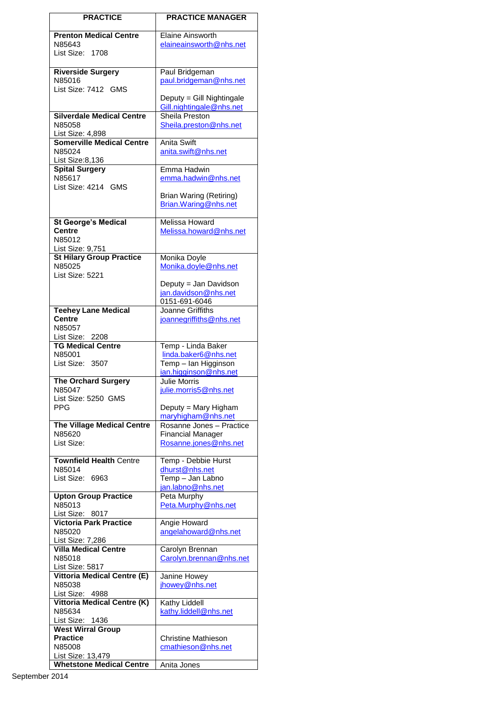| <b>PRACTICE</b>                                      | <b>PRACTICE MANAGER</b>                              |  |  |
|------------------------------------------------------|------------------------------------------------------|--|--|
| <b>Prenton Medical Centre</b>                        | <b>Elaine Ainsworth</b>                              |  |  |
| N85643                                               | elaineainsworth@nhs.net                              |  |  |
| List Size: 1708                                      |                                                      |  |  |
|                                                      |                                                      |  |  |
| <b>Riverside Surgery</b><br>N85016                   | Paul Bridgeman<br>paul.bridgeman@nhs.net             |  |  |
| List Size: 7412 GMS                                  |                                                      |  |  |
|                                                      | Deputy = Gill Nightingale                            |  |  |
|                                                      | Gill.nightingale@nhs.net                             |  |  |
| <b>Silverdale Medical Centre</b><br>N85058           | Sheila Preston                                       |  |  |
| List Size: 4,898                                     | Sheila.preston@nhs.net                               |  |  |
| <b>Somerville Medical Centre</b>                     | <b>Anita Swift</b>                                   |  |  |
| N85024                                               | anita.swift@nhs.net                                  |  |  |
| List Size:8,136                                      |                                                      |  |  |
| <b>Spital Surgery</b><br>N85617                      | Emma Hadwin<br>emma.hadwin@nhs.net                   |  |  |
| List Size: 4214 GMS                                  |                                                      |  |  |
|                                                      | Brian Waring (Retiring)                              |  |  |
|                                                      | Brian.Waring@nhs.net                                 |  |  |
| <b>St George's Medical</b>                           | Melissa Howard                                       |  |  |
| <b>Centre</b>                                        | Melissa.howard@nhs.net                               |  |  |
| N85012                                               |                                                      |  |  |
| List Size: 9,751                                     |                                                      |  |  |
| <b>St Hilary Group Practice</b><br>N85025            | Monika Doyle<br>Monika.doyle@nhs.net                 |  |  |
| List Size: 5221                                      |                                                      |  |  |
|                                                      | Deputy = Jan Davidson                                |  |  |
|                                                      | jan.davidson@nhs.net                                 |  |  |
| <b>Teehey Lane Medical</b>                           | 0151-691-6046<br>Joanne Griffiths                    |  |  |
| <b>Centre</b>                                        | joannegriffiths@nhs.net                              |  |  |
| N85057                                               |                                                      |  |  |
| List Size: 2208                                      |                                                      |  |  |
| <b>TG Medical Centre</b><br>N85001                   | Temp - Linda Baker<br>linda.baker6@nhs.net           |  |  |
| List Size: 3507                                      | Temp - Ian Higginson                                 |  |  |
|                                                      | ian.higginson@nhs.net                                |  |  |
| <b>The Orchard Surgery</b>                           | <b>Julie Morris</b>                                  |  |  |
| N85047<br>List Size: 5250 GMS                        | julie.morris5@nhs.net                                |  |  |
| PPG                                                  | Deputy = Mary Higham                                 |  |  |
|                                                      | maryhigham@nhs.net                                   |  |  |
| <b>The Village Medical Centre</b><br>N85620          | Rosanne Jones - Practice<br><b>Financial Manager</b> |  |  |
| List Size:                                           | Rosanne.jones@nhs.net                                |  |  |
|                                                      |                                                      |  |  |
| <b>Townfield Health Centre</b>                       | Temp - Debbie Hurst                                  |  |  |
| N85014<br>List Size: 6963                            | <u>dhurst@nhs.net</u><br>Temp - Jan Labno            |  |  |
|                                                      | jan.labno@nhs.net                                    |  |  |
| <b>Upton Group Practice</b>                          | Peta Murphy                                          |  |  |
| N85013                                               | Peta.Murphy@nhs.net                                  |  |  |
| List Size: 8017<br><b>Victoria Park Practice</b>     | Angie Howard                                         |  |  |
| N85020                                               | angelahoward@nhs.net                                 |  |  |
| List Size: 7,286                                     |                                                      |  |  |
| <b>Villa Medical Centre</b>                          | Carolyn Brennan                                      |  |  |
| N85018<br>List Size: 5817                            | Carolyn.brennan@nhs.net                              |  |  |
| <b>Vittoria Medical Centre (E)</b>                   | Janine Howey                                         |  |  |
| N85038                                               | jhowey@nhs.net                                       |  |  |
| List Size: 4988                                      |                                                      |  |  |
| <b>Vittoria Medical Centre (K)</b><br>N85634         | Kathy Liddell<br>kathy.liddell@nhs.net               |  |  |
| List Size: 1436                                      |                                                      |  |  |
| <b>West Wirral Group</b>                             |                                                      |  |  |
| <b>Practice</b>                                      | <b>Christine Mathieson</b>                           |  |  |
| N85008                                               | cmathieson@nhs.net                                   |  |  |
| List Size: 13,479<br><b>Whetstone Medical Centre</b> | Anita Jones                                          |  |  |